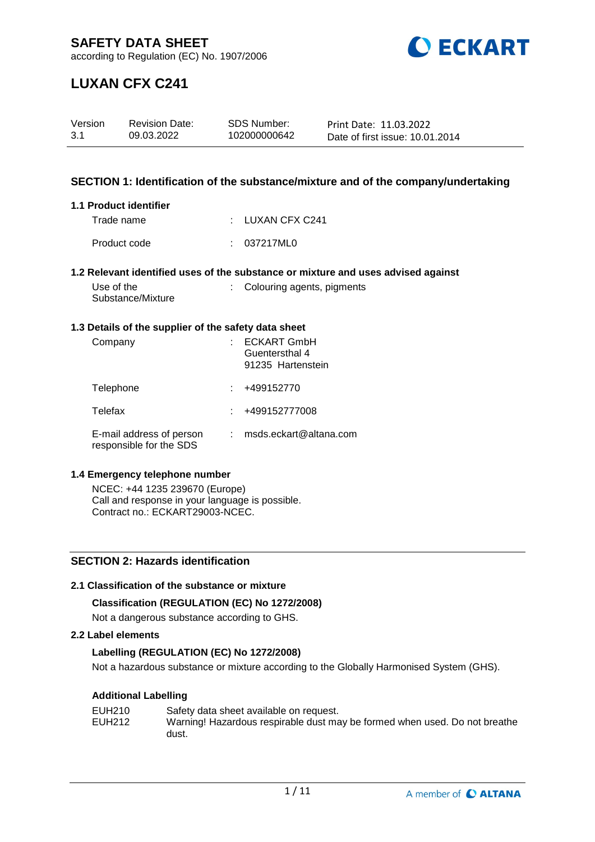

according to Regulation (EC) No. 1907/2006

# **LUXAN CFX C241**

| Version | <b>Revision Date:</b> | SDS Number:  | Print Date: 11.03.2022          |
|---------|-----------------------|--------------|---------------------------------|
| 3.1     | 09.03.2022            | 102000000642 | Date of first issue: 10.01.2014 |

## **SECTION 1: Identification of the substance/mixture and of the company/undertaking**

#### **1.1 Product identifier**

| Trade name   | : LUXAN CFX C241 |
|--------------|------------------|
| Product code | : 037217ML0      |

#### **1.2 Relevant identified uses of the substance or mixture and uses advised against**

| Use of the        | : Colouring agents, pigments |
|-------------------|------------------------------|
| Substance/Mixture |                              |

#### **1.3 Details of the supplier of the safety data sheet**

| Company                                             | <b>ECKART GmbH</b><br>Guentersthal 4<br>91235 Hartenstein |
|-----------------------------------------------------|-----------------------------------------------------------|
| Telephone                                           | +499152770                                                |
| Telefax                                             | +499152777008                                             |
| E-mail address of person<br>responsible for the SDS | msds.eckart@altana.com                                    |

#### **1.4 Emergency telephone number**

NCEC: +44 1235 239670 (Europe) Call and response in your language is possible. Contract no.: ECKART29003-NCEC.

## **SECTION 2: Hazards identification**

#### **2.1 Classification of the substance or mixture**

## **Classification (REGULATION (EC) No 1272/2008)**

Not a dangerous substance according to GHS.

### **2.2 Label elements**

## **Labelling (REGULATION (EC) No 1272/2008)**

Not a hazardous substance or mixture according to the Globally Harmonised System (GHS).

## **Additional Labelling**

| EUH210 | Safety data sheet available on request.                                    |
|--------|----------------------------------------------------------------------------|
| EUH212 | Warning! Hazardous respirable dust may be formed when used. Do not breathe |
|        | dust.                                                                      |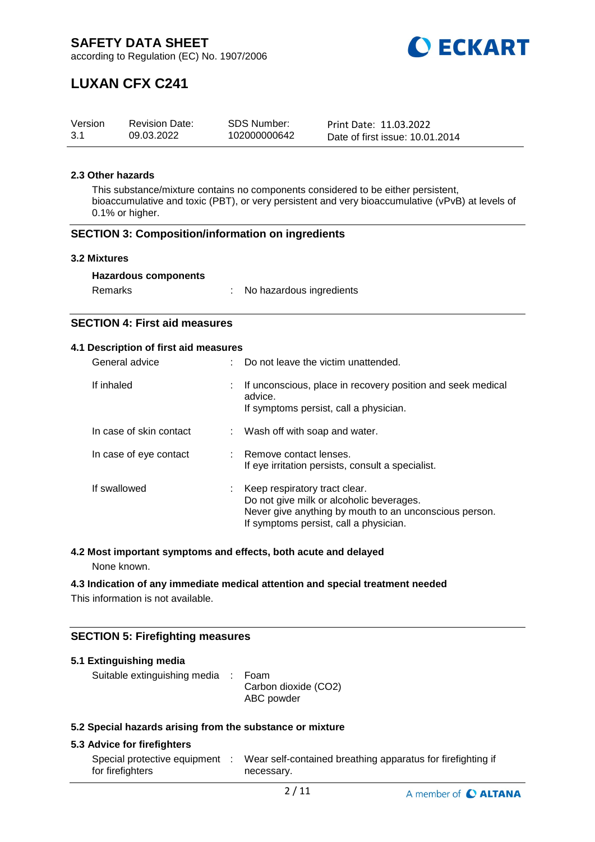

# **LUXAN CFX C241**

| Version | <b>Revision Date:</b> | <b>SDS Number:</b> | Print Date: 11.03.2022          |
|---------|-----------------------|--------------------|---------------------------------|
| 3.1     | 09.03.2022            | 102000000642       | Date of first issue: 10.01.2014 |

#### **2.3 Other hazards**

This substance/mixture contains no components considered to be either persistent, bioaccumulative and toxic (PBT), or very persistent and very bioaccumulative (vPvB) at levels of 0.1% or higher.

#### **SECTION 3: Composition/information on ingredients**

#### **3.2 Mixtures**

| Remarks | No hazardous ingredients |
|---------|--------------------------|
|---------|--------------------------|

## **SECTION 4: First aid measures**

#### **4.1 Description of first aid measures**

| General advice          |    | Do not leave the victim unattended.                                                                                                                                           |
|-------------------------|----|-------------------------------------------------------------------------------------------------------------------------------------------------------------------------------|
| If inhaled              | ÷. | If unconscious, place in recovery position and seek medical<br>advice.<br>If symptoms persist, call a physician.                                                              |
| In case of skin contact |    | : Wash off with soap and water.                                                                                                                                               |
| In case of eye contact  |    | : Remove contact lenses.<br>If eye irritation persists, consult a specialist.                                                                                                 |
| If swallowed            |    | Keep respiratory tract clear.<br>Do not give milk or alcoholic beverages.<br>Never give anything by mouth to an unconscious person.<br>If symptoms persist, call a physician. |

## **4.2 Most important symptoms and effects, both acute and delayed**

None known.

#### **4.3 Indication of any immediate medical attention and special treatment needed**

This information is not available.

## **SECTION 5: Firefighting measures**

| 5.1 Extinguishing media                                   |  |                                            |  |  |  |
|-----------------------------------------------------------|--|--------------------------------------------|--|--|--|
| Suitable extinguishing media :                            |  | Foam<br>Carbon dioxide (CO2)<br>ABC powder |  |  |  |
| 5.3 Coopial horardo origina from the qubetaneo or mivture |  |                                            |  |  |  |

#### **5.2 Special hazards arising from the substance or mixture**

### **5.3 Advice for firefighters**

| Special protective equipment | Wear self-contained breathing apparatus for firefighting if |
|------------------------------|-------------------------------------------------------------|
| for firefighters             | necessary.                                                  |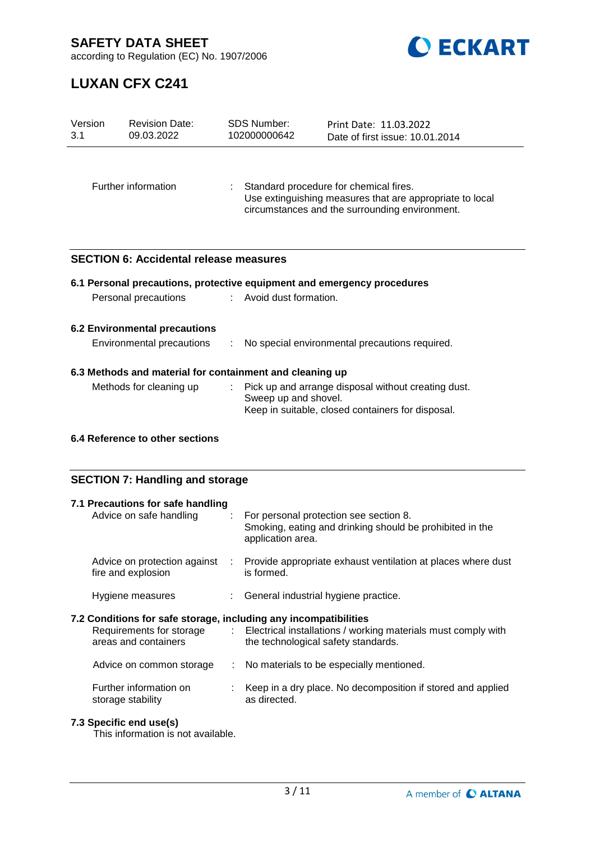

according to Regulation (EC) No. 1907/2006

# **LUXAN CFX C241**

| Version<br>3.1                                             | <b>Revision Date:</b><br>09.03.2022           |  | <b>SDS Number:</b><br>102000000642             | Print Date: 11.03.2022<br>Date of first issue: 10.01.2014                                                                                            |  |  |
|------------------------------------------------------------|-----------------------------------------------|--|------------------------------------------------|------------------------------------------------------------------------------------------------------------------------------------------------------|--|--|
|                                                            | Further information                           |  |                                                | Standard procedure for chemical fires.<br>Use extinguishing measures that are appropriate to local<br>circumstances and the surrounding environment. |  |  |
|                                                            | <b>SECTION 6: Accidental release measures</b> |  |                                                |                                                                                                                                                      |  |  |
|                                                            |                                               |  |                                                | 6.1 Personal precautions, protective equipment and emergency procedures                                                                              |  |  |
|                                                            | Personal precautions                          |  | : Avoid dust formation.                        |                                                                                                                                                      |  |  |
| 6.2 Environmental precautions<br>Environmental precautions |                                               |  | No special environmental precautions required. |                                                                                                                                                      |  |  |
| 6.3 Methods and material for containment and cleaning up   |                                               |  |                                                |                                                                                                                                                      |  |  |
|                                                            | Methods for cleaning up                       |  | Sweep up and shovel.                           | Pick up and arrange disposal without creating dust.<br>Keep in suitable, closed containers for disposal.                                             |  |  |
|                                                            | 6.4 Reference to other sections               |  |                                                |                                                                                                                                                      |  |  |

## **SECTION 7: Handling and storage**

| 7.1 Precautions for safe handling<br>Advice on safe handling     |    | : For personal protection see section 8.<br>Smoking, eating and drinking should be prohibited in the<br>application area. |
|------------------------------------------------------------------|----|---------------------------------------------------------------------------------------------------------------------------|
| Advice on protection against<br>fire and explosion               | ÷. | Provide appropriate exhaust ventilation at places where dust<br>is formed.                                                |
| Hygiene measures                                                 |    | : General industrial hygiene practice.                                                                                    |
| 7.2 Conditions for safe storage, including any incompatibilities |    |                                                                                                                           |
| Requirements for storage<br>areas and containers                 |    | : Electrical installations / working materials must comply with<br>the technological safety standards.                    |
| Advice on common storage                                         | ÷  | No materials to be especially mentioned.                                                                                  |

## **7.3 Specific end use(s)**

This information is not available.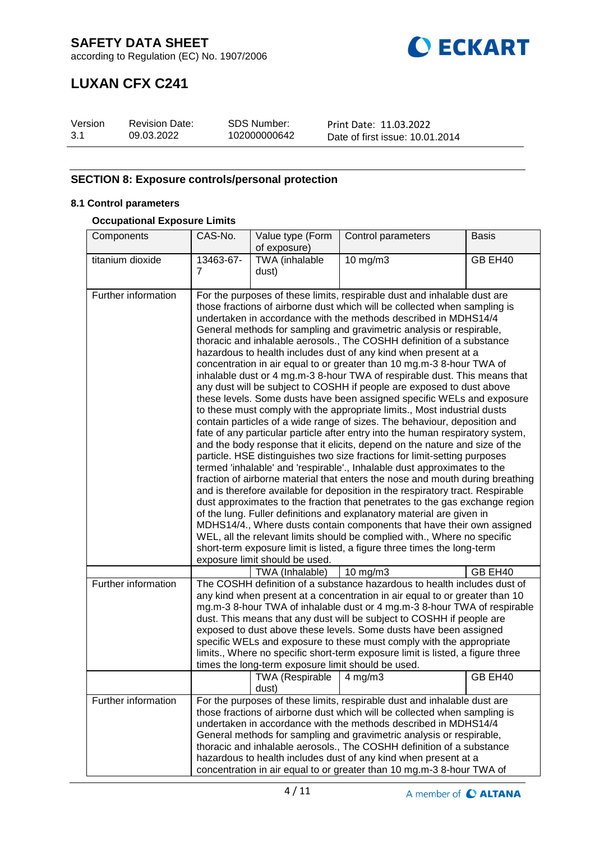

## **LUXAN CFX C241**

| Version | <b>Revision Date:</b> | <b>SDS Number:</b> | Print Date: 11.03.2022          |
|---------|-----------------------|--------------------|---------------------------------|
| 3.1     | 09.03.2022            | 102000000642       | Date of first issue: 10.01.2014 |

## **SECTION 8: Exposure controls/personal protection**

## **8.1 Control parameters**

### **Occupational Exposure Limits**

| Components          | CAS-No.                                                                                                                                                                                                                                                                                                                                                                                                                                                                                                                                                                                                                                                                                                                                                                                                                                                                                                                                                                                                                                                                                                                                                                                                                                                                                                                                                                                                                                                                                                                                                                                                                                                                                                                                                                                                                                 | Value type (Form                                   | Control parameters                                                                                                                                                                                                                                                                                                                                                                                                                                                                                                                          | <b>Basis</b> |  |
|---------------------|-----------------------------------------------------------------------------------------------------------------------------------------------------------------------------------------------------------------------------------------------------------------------------------------------------------------------------------------------------------------------------------------------------------------------------------------------------------------------------------------------------------------------------------------------------------------------------------------------------------------------------------------------------------------------------------------------------------------------------------------------------------------------------------------------------------------------------------------------------------------------------------------------------------------------------------------------------------------------------------------------------------------------------------------------------------------------------------------------------------------------------------------------------------------------------------------------------------------------------------------------------------------------------------------------------------------------------------------------------------------------------------------------------------------------------------------------------------------------------------------------------------------------------------------------------------------------------------------------------------------------------------------------------------------------------------------------------------------------------------------------------------------------------------------------------------------------------------------|----------------------------------------------------|---------------------------------------------------------------------------------------------------------------------------------------------------------------------------------------------------------------------------------------------------------------------------------------------------------------------------------------------------------------------------------------------------------------------------------------------------------------------------------------------------------------------------------------------|--------------|--|
|                     |                                                                                                                                                                                                                                                                                                                                                                                                                                                                                                                                                                                                                                                                                                                                                                                                                                                                                                                                                                                                                                                                                                                                                                                                                                                                                                                                                                                                                                                                                                                                                                                                                                                                                                                                                                                                                                         | of exposure)                                       |                                                                                                                                                                                                                                                                                                                                                                                                                                                                                                                                             |              |  |
| titanium dioxide    | 13463-67-<br>7                                                                                                                                                                                                                                                                                                                                                                                                                                                                                                                                                                                                                                                                                                                                                                                                                                                                                                                                                                                                                                                                                                                                                                                                                                                                                                                                                                                                                                                                                                                                                                                                                                                                                                                                                                                                                          | TWA (inhalable                                     | $10$ mg/m $3$                                                                                                                                                                                                                                                                                                                                                                                                                                                                                                                               | GB EH40      |  |
|                     |                                                                                                                                                                                                                                                                                                                                                                                                                                                                                                                                                                                                                                                                                                                                                                                                                                                                                                                                                                                                                                                                                                                                                                                                                                                                                                                                                                                                                                                                                                                                                                                                                                                                                                                                                                                                                                         | dust)                                              |                                                                                                                                                                                                                                                                                                                                                                                                                                                                                                                                             |              |  |
| Further information | For the purposes of these limits, respirable dust and inhalable dust are<br>those fractions of airborne dust which will be collected when sampling is<br>undertaken in accordance with the methods described in MDHS14/4<br>General methods for sampling and gravimetric analysis or respirable,<br>thoracic and inhalable aerosols., The COSHH definition of a substance<br>hazardous to health includes dust of any kind when present at a<br>concentration in air equal to or greater than 10 mg.m-3 8-hour TWA of<br>inhalable dust or 4 mg.m-3 8-hour TWA of respirable dust. This means that<br>any dust will be subject to COSHH if people are exposed to dust above<br>these levels. Some dusts have been assigned specific WELs and exposure<br>to these must comply with the appropriate limits., Most industrial dusts<br>contain particles of a wide range of sizes. The behaviour, deposition and<br>fate of any particular particle after entry into the human respiratory system,<br>and the body response that it elicits, depend on the nature and size of the<br>particle. HSE distinguishes two size fractions for limit-setting purposes<br>termed 'inhalable' and 'respirable'., Inhalable dust approximates to the<br>fraction of airborne material that enters the nose and mouth during breathing<br>and is therefore available for deposition in the respiratory tract. Respirable<br>dust approximates to the fraction that penetrates to the gas exchange region<br>of the lung. Fuller definitions and explanatory material are given in<br>MDHS14/4., Where dusts contain components that have their own assigned<br>WEL, all the relevant limits should be complied with., Where no specific<br>short-term exposure limit is listed, a figure three times the long-term<br>exposure limit should be used. |                                                    |                                                                                                                                                                                                                                                                                                                                                                                                                                                                                                                                             |              |  |
|                     |                                                                                                                                                                                                                                                                                                                                                                                                                                                                                                                                                                                                                                                                                                                                                                                                                                                                                                                                                                                                                                                                                                                                                                                                                                                                                                                                                                                                                                                                                                                                                                                                                                                                                                                                                                                                                                         | TWA (Inhalable)                                    | 10 mg/m3                                                                                                                                                                                                                                                                                                                                                                                                                                                                                                                                    | GB EH40      |  |
| Further information |                                                                                                                                                                                                                                                                                                                                                                                                                                                                                                                                                                                                                                                                                                                                                                                                                                                                                                                                                                                                                                                                                                                                                                                                                                                                                                                                                                                                                                                                                                                                                                                                                                                                                                                                                                                                                                         | times the long-term exposure limit should be used. | The COSHH definition of a substance hazardous to health includes dust of<br>any kind when present at a concentration in air equal to or greater than 10<br>mg.m-3 8-hour TWA of inhalable dust or 4 mg.m-3 8-hour TWA of respirable<br>dust. This means that any dust will be subject to COSHH if people are<br>exposed to dust above these levels. Some dusts have been assigned<br>specific WELs and exposure to these must comply with the appropriate<br>limits., Where no specific short-term exposure limit is listed, a figure three |              |  |
|                     |                                                                                                                                                                                                                                                                                                                                                                                                                                                                                                                                                                                                                                                                                                                                                                                                                                                                                                                                                                                                                                                                                                                                                                                                                                                                                                                                                                                                                                                                                                                                                                                                                                                                                                                                                                                                                                         | TWA (Respirable<br>dust)                           | $4 \,\mathrm{mg/m3}$                                                                                                                                                                                                                                                                                                                                                                                                                                                                                                                        | GB EH40      |  |
| Further information | For the purposes of these limits, respirable dust and inhalable dust are<br>those fractions of airborne dust which will be collected when sampling is<br>undertaken in accordance with the methods described in MDHS14/4<br>General methods for sampling and gravimetric analysis or respirable,<br>thoracic and inhalable aerosols., The COSHH definition of a substance<br>hazardous to health includes dust of any kind when present at a<br>concentration in air equal to or greater than 10 mg.m-3 8-hour TWA of                                                                                                                                                                                                                                                                                                                                                                                                                                                                                                                                                                                                                                                                                                                                                                                                                                                                                                                                                                                                                                                                                                                                                                                                                                                                                                                   |                                                    |                                                                                                                                                                                                                                                                                                                                                                                                                                                                                                                                             |              |  |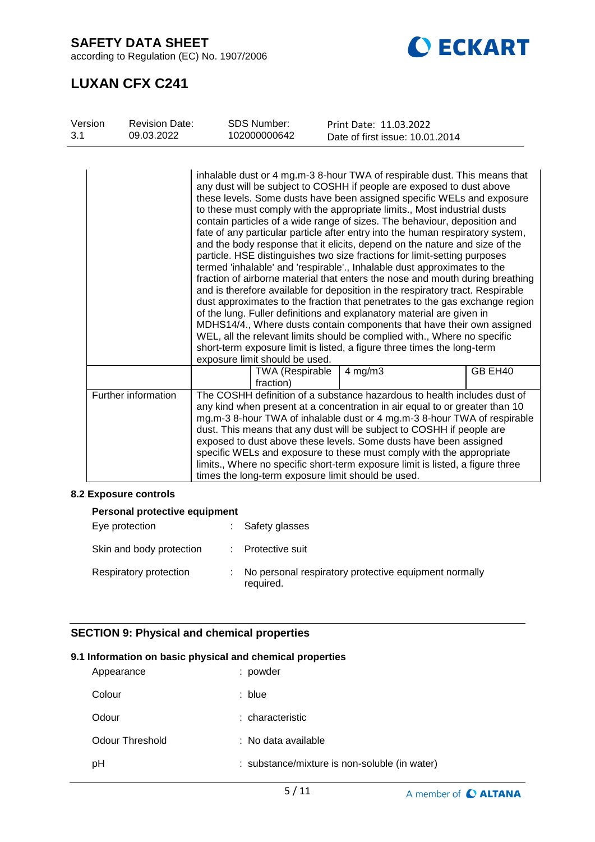according to Regulation (EC) No. 1907/2006



## **LUXAN CFX C241**

| Version<br>3.1 | <b>Revision Date:</b><br>09.03.2022 | <b>SDS Number:</b><br>102000000642   | Print Date: 11.03.2022<br>Date of first issue: 10.01.2014                                                                                                                                                                                                                                                                                                                                                                                                                                                                                                                                                                                                                                                                                                                                                                                                                                                                                                                                                                                                                                                                                                                                                                                                                    |         |
|----------------|-------------------------------------|--------------------------------------|------------------------------------------------------------------------------------------------------------------------------------------------------------------------------------------------------------------------------------------------------------------------------------------------------------------------------------------------------------------------------------------------------------------------------------------------------------------------------------------------------------------------------------------------------------------------------------------------------------------------------------------------------------------------------------------------------------------------------------------------------------------------------------------------------------------------------------------------------------------------------------------------------------------------------------------------------------------------------------------------------------------------------------------------------------------------------------------------------------------------------------------------------------------------------------------------------------------------------------------------------------------------------|---------|
|                |                                     | exposure limit should be used.       | inhalable dust or 4 mg.m-3 8-hour TWA of respirable dust. This means that<br>any dust will be subject to COSHH if people are exposed to dust above<br>these levels. Some dusts have been assigned specific WELs and exposure<br>to these must comply with the appropriate limits., Most industrial dusts<br>contain particles of a wide range of sizes. The behaviour, deposition and<br>fate of any particular particle after entry into the human respiratory system,<br>and the body response that it elicits, depend on the nature and size of the<br>particle. HSE distinguishes two size fractions for limit-setting purposes<br>termed 'inhalable' and 'respirable'., Inhalable dust approximates to the<br>fraction of airborne material that enters the nose and mouth during breathing<br>and is therefore available for deposition in the respiratory tract. Respirable<br>dust approximates to the fraction that penetrates to the gas exchange region<br>of the lung. Fuller definitions and explanatory material are given in<br>MDHS14/4., Where dusts contain components that have their own assigned<br>WEL, all the relevant limits should be complied with., Where no specific<br>short-term exposure limit is listed, a figure three times the long-term |         |
|                |                                     | <b>TWA (Respirable)</b><br>fraction) | $4$ mg/m $3$                                                                                                                                                                                                                                                                                                                                                                                                                                                                                                                                                                                                                                                                                                                                                                                                                                                                                                                                                                                                                                                                                                                                                                                                                                                                 | GB EH40 |
|                | Further information                 |                                      | The COSHH definition of a substance hazardous to health includes dust of<br>any kind when present at a concentration in air equal to or greater than 10<br>mg.m-3 8-hour TWA of inhalable dust or 4 mg.m-3 8-hour TWA of respirable<br>dust. This means that any dust will be subject to COSHH if people are<br>exposed to dust above these levels. Some dusts have been assigned<br>specific WELs and exposure to these must comply with the appropriate<br>limits., Where no specific short-term exposure limit is listed, a figure three<br>times the long-term exposure limit should be used.                                                                                                                                                                                                                                                                                                                                                                                                                                                                                                                                                                                                                                                                            |         |

## **8.2 Exposure controls**

| Personal protective equipment |  |                                                                    |  |  |
|-------------------------------|--|--------------------------------------------------------------------|--|--|
| Eye protection                |  | Safety glasses                                                     |  |  |
| Skin and body protection      |  | Protective suit                                                    |  |  |
| Respiratory protection        |  | No personal respiratory protective equipment normally<br>required. |  |  |

## **SECTION 9: Physical and chemical properties**

#### **9.1 Information on basic physical and chemical properties**

| Appearance      | : powder                                      |
|-----------------|-----------------------------------------------|
| Colour          | : blue                                        |
| Odour           | : characteristic                              |
| Odour Threshold | : No data available                           |
| рH              | : substance/mixture is non-soluble (in water) |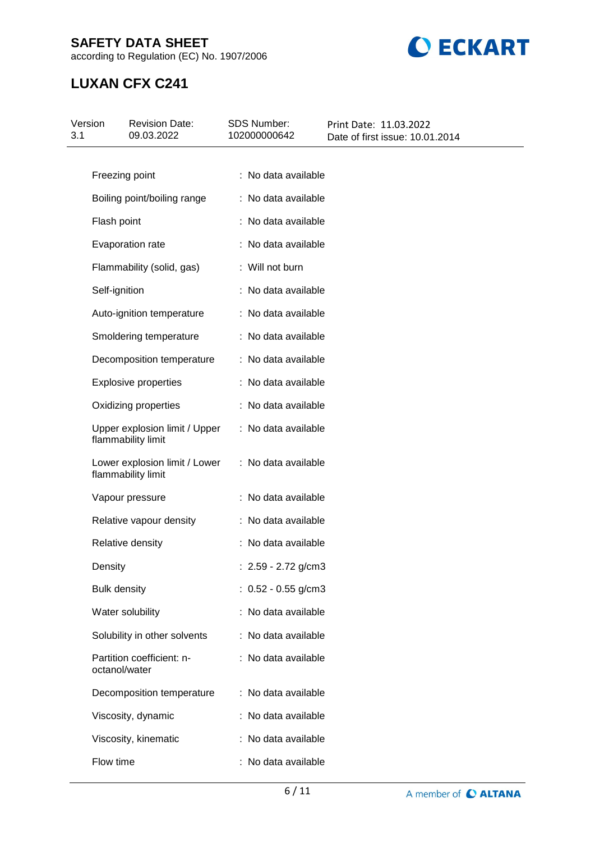according to Regulation (EC) No. 1907/2006



## **LUXAN CFX C241**

| Version<br>3.1 | <b>Revision Date:</b><br>09.03.2022                 | SDS Number:<br>102000000642 | Print Date: 11.03.2022<br>Date of first issue: 10.01.2014 |
|----------------|-----------------------------------------------------|-----------------------------|-----------------------------------------------------------|
|                |                                                     |                             |                                                           |
|                | Freezing point                                      | : No data available         |                                                           |
|                | Boiling point/boiling range                         | : No data available         |                                                           |
|                | Flash point                                         | : No data available         |                                                           |
|                | Evaporation rate                                    | : No data available         |                                                           |
|                | Flammability (solid, gas)                           | : Will not burn             |                                                           |
|                | Self-ignition                                       | : No data available         |                                                           |
|                | Auto-ignition temperature                           | : No data available         |                                                           |
|                | Smoldering temperature                              | : No data available         |                                                           |
|                | Decomposition temperature                           | : No data available         |                                                           |
|                | <b>Explosive properties</b>                         | : No data available         |                                                           |
|                | Oxidizing properties                                | : No data available         |                                                           |
|                | Upper explosion limit / Upper<br>flammability limit | : No data available         |                                                           |
|                | Lower explosion limit / Lower<br>flammability limit | : No data available         |                                                           |
|                | Vapour pressure                                     | : No data available         |                                                           |
|                | Relative vapour density                             | : No data available         |                                                           |
|                | Relative density                                    | : No data available         |                                                           |
|                | Density                                             | : 2.59 - 2.72 g/cm3         |                                                           |
|                | <b>Bulk density</b>                                 | : $0.52 - 0.55$ g/cm3       |                                                           |
|                | Water solubility                                    | : No data available         |                                                           |
|                | Solubility in other solvents                        | : No data available         |                                                           |
|                | Partition coefficient: n-<br>octanol/water          | : No data available         |                                                           |
|                | Decomposition temperature                           | : No data available         |                                                           |
|                | Viscosity, dynamic                                  | : No data available         |                                                           |
|                | Viscosity, kinematic                                | : No data available         |                                                           |
|                | Flow time                                           | : No data available         |                                                           |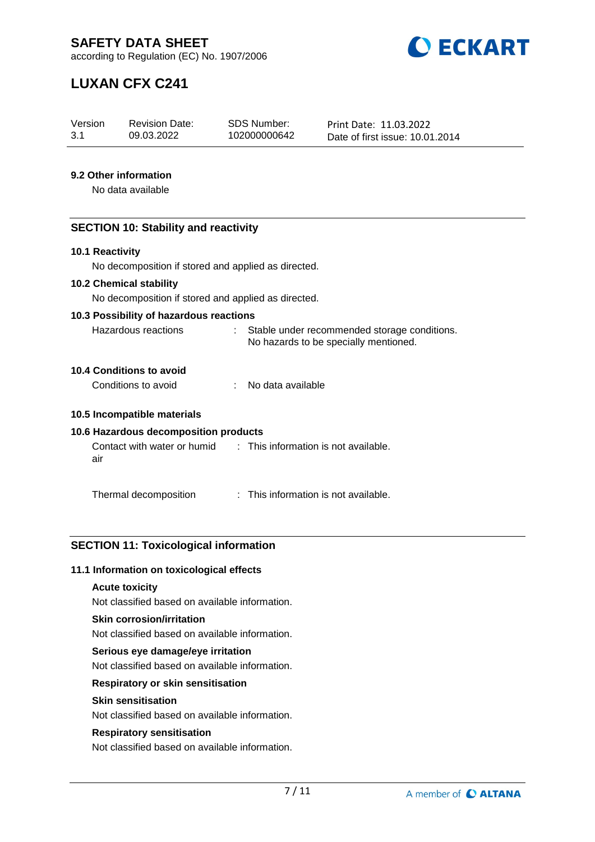

# **LUXAN CFX C241**

| Version | <b>Revision Date:</b> | <b>SDS Number:</b> | Print Date: 11.03.2022          |
|---------|-----------------------|--------------------|---------------------------------|
| 3.1     | 09.03.2022            | 102000000642       | Date of first issue: 10.01.2014 |

### **9.2 Other information**

No data available

### **SECTION 10: Stability and reactivity**

#### **10.1 Reactivity**

No decomposition if stored and applied as directed.

#### **10.2 Chemical stability**

No decomposition if stored and applied as directed.

#### **10.3 Possibility of hazardous reactions**

| Hazardous reactions | Stable under recommended storage conditions. |
|---------------------|----------------------------------------------|
|                     | No hazards to be specially mentioned.        |

## **10.4 Conditions to avoid**

| Conditions to avoid | No data available |
|---------------------|-------------------|
|                     |                   |

### **10.5 Incompatible materials**

## **10.6 Hazardous decomposition products**

| Contact with water or humid | : This information is not available. |
|-----------------------------|--------------------------------------|
| air                         |                                      |

Thermal decomposition : This information is not available.

## **SECTION 11: Toxicological information**

#### **11.1 Information on toxicological effects**

#### **Acute toxicity**

Not classified based on available information.

#### **Skin corrosion/irritation**

Not classified based on available information.

#### **Serious eye damage/eye irritation**

Not classified based on available information.

## **Respiratory or skin sensitisation**

#### **Skin sensitisation**

Not classified based on available information.

#### **Respiratory sensitisation**

Not classified based on available information.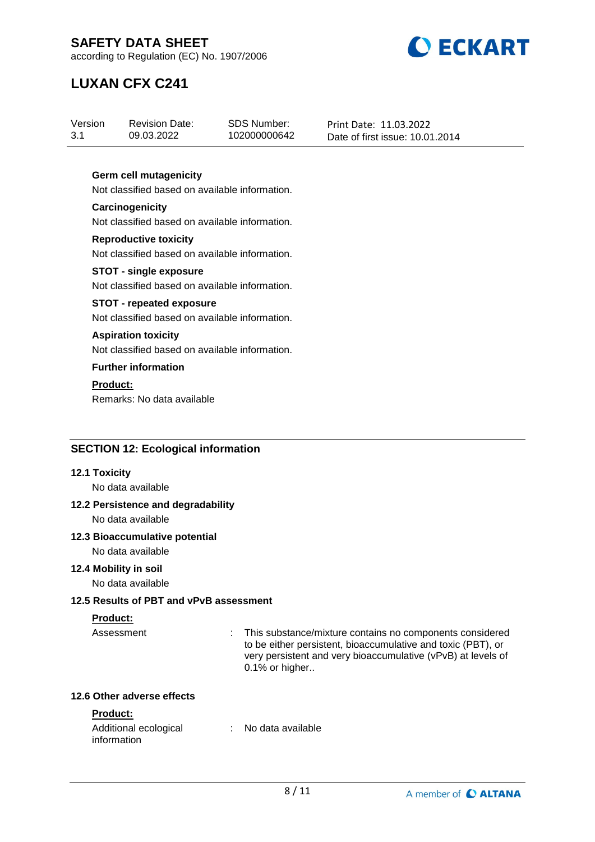

according to Regulation (EC) No. 1907/2006

# **LUXAN CFX C241**

| Version | <b>Revision Date:</b> | SDS Number:  | Print Date: 11.03.2022          |
|---------|-----------------------|--------------|---------------------------------|
| 3.1     | 09.03.2022            | 102000000642 | Date of first issue: 10.01.2014 |

### **Germ cell mutagenicity**

Not classified based on available information.

#### **Carcinogenicity** Not classified based on available information.

**Reproductive toxicity** Not classified based on available information.

#### **STOT - single exposure** Not classified based on available information.

## **STOT - repeated exposure**

Not classified based on available information.

### **Aspiration toxicity**

Not classified based on available information.

## **Further information**

**Product:**

Remarks: No data available

## **SECTION 12: Ecological information**

#### **12.1 Toxicity**

No data available

## **12.2 Persistence and degradability**

No data available

#### **12.3 Bioaccumulative potential**

No data available

#### **12.4 Mobility in soil**

No data available

## **12.5 Results of PBT and vPvB assessment**

## **Product:**

Assessment : This substance/mixture contains no components considered to be either persistent, bioaccumulative and toxic (PBT), or very persistent and very bioaccumulative (vPvB) at levels of 0.1% or higher..

### **12.6 Other adverse effects**

## **Product:**

| Additional ecological | No data available |  |
|-----------------------|-------------------|--|
| information           |                   |  |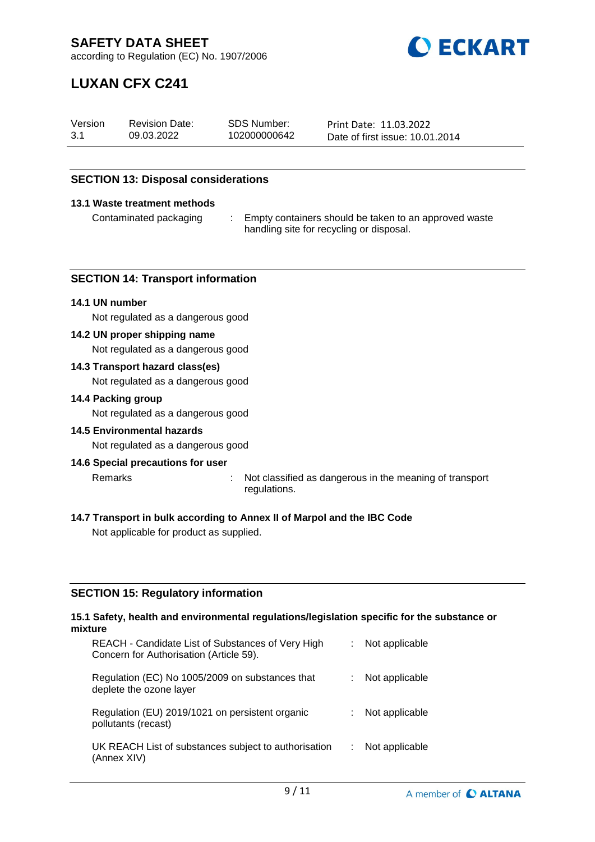

# **LUXAN CFX C241**

| Version | <b>Revision Date:</b> | SDS Number:  | Print Date: 11.03.2022          |
|---------|-----------------------|--------------|---------------------------------|
| -3.1    | 09.03.2022            | 102000000642 | Date of first issue: 10.01.2014 |

### **SECTION 13: Disposal considerations**

#### **13.1 Waste treatment methods**

Contaminated packaging : Empty containers should be taken to an approved waste handling site for recycling or disposal.

#### **SECTION 14: Transport information**

#### **14.1 UN number**

Not regulated as a dangerous good

#### **14.2 UN proper shipping name**

Not regulated as a dangerous good

#### **14.3 Transport hazard class(es)**

Not regulated as a dangerous good

#### **14.4 Packing group**

Not regulated as a dangerous good

#### **14.5 Environmental hazards**

Not regulated as a dangerous good

#### **14.6 Special precautions for user**

Remarks : Not classified as dangerous in the meaning of transport

- regulations.
- 

## **14.7 Transport in bulk according to Annex II of Marpol and the IBC Code**

Not applicable for product as supplied.

#### **SECTION 15: Regulatory information**

#### **15.1 Safety, health and environmental regulations/legislation specific for the substance or mixture**

| REACH - Candidate List of Substances of Very High<br>Concern for Authorisation (Article 59). | Not applicable |
|----------------------------------------------------------------------------------------------|----------------|
| Regulation (EC) No 1005/2009 on substances that<br>deplete the ozone layer                   | Not applicable |
| Regulation (EU) 2019/1021 on persistent organic<br>pollutants (recast)                       | Not applicable |
| UK REACH List of substances subject to authorisation<br>(Annex XIV)                          | Not applicable |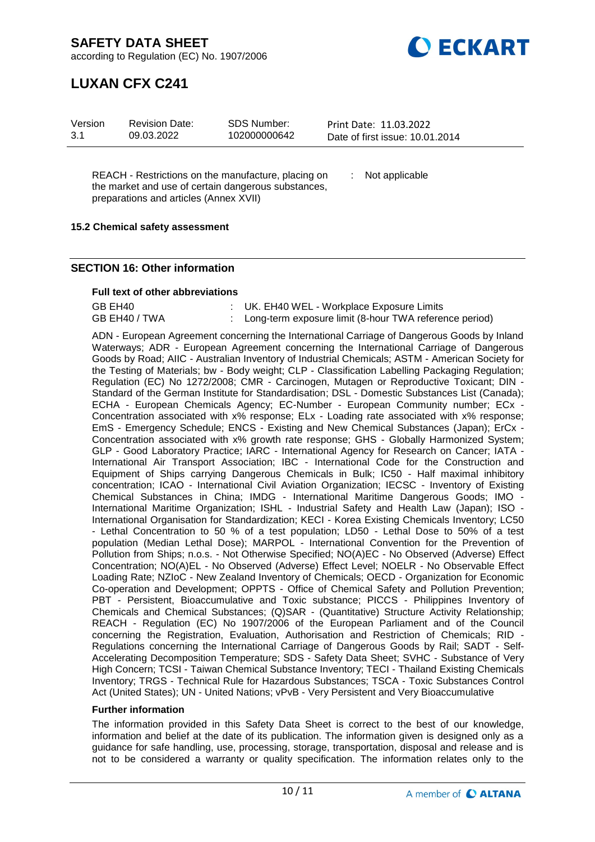**DECKART** 

according to Regulation (EC) No. 1907/2006

## **LUXAN CFX C241**

| Version | <b>Revision Date:</b> | SDS Number:  | Print Date: 11.03.2022          |  |
|---------|-----------------------|--------------|---------------------------------|--|
| 3.1     | 09.03.2022            | 102000000642 | Date of first issue: 10.01.2014 |  |

REACH - Restrictions on the manufacture, placing on the market and use of certain dangerous substances, preparations and articles (Annex XVII)

: Not applicable

### **15.2 Chemical safety assessment**

### **SECTION 16: Other information**

#### **Full text of other abbreviations**

| GB EH40       | : UK. EH40 WEL - Workplace Exposure Limits               |
|---------------|----------------------------------------------------------|
| GB EH40 / TWA | : Long-term exposure limit (8-hour TWA reference period) |

ADN - European Agreement concerning the International Carriage of Dangerous Goods by Inland Waterways; ADR - European Agreement concerning the International Carriage of Dangerous Goods by Road; AIIC - Australian Inventory of Industrial Chemicals; ASTM - American Society for the Testing of Materials; bw - Body weight; CLP - Classification Labelling Packaging Regulation; Regulation (EC) No 1272/2008; CMR - Carcinogen, Mutagen or Reproductive Toxicant; DIN - Standard of the German Institute for Standardisation; DSL - Domestic Substances List (Canada); ECHA - European Chemicals Agency; EC-Number - European Community number; ECx -Concentration associated with x% response; ELx - Loading rate associated with x% response; EmS - Emergency Schedule; ENCS - Existing and New Chemical Substances (Japan); ErCx - Concentration associated with x% growth rate response; GHS - Globally Harmonized System; GLP - Good Laboratory Practice; IARC - International Agency for Research on Cancer; IATA - International Air Transport Association; IBC - International Code for the Construction and Equipment of Ships carrying Dangerous Chemicals in Bulk; IC50 - Half maximal inhibitory concentration; ICAO - International Civil Aviation Organization; IECSC - Inventory of Existing Chemical Substances in China; IMDG - International Maritime Dangerous Goods; IMO - International Maritime Organization; ISHL - Industrial Safety and Health Law (Japan); ISO - International Organisation for Standardization; KECI - Korea Existing Chemicals Inventory; LC50 - Lethal Concentration to 50 % of a test population; LD50 - Lethal Dose to 50% of a test population (Median Lethal Dose); MARPOL - International Convention for the Prevention of Pollution from Ships; n.o.s. - Not Otherwise Specified; NO(A)EC - No Observed (Adverse) Effect Concentration; NO(A)EL - No Observed (Adverse) Effect Level; NOELR - No Observable Effect Loading Rate; NZIoC - New Zealand Inventory of Chemicals; OECD - Organization for Economic Co-operation and Development; OPPTS - Office of Chemical Safety and Pollution Prevention; PBT - Persistent, Bioaccumulative and Toxic substance; PICCS - Philippines Inventory of Chemicals and Chemical Substances; (Q)SAR - (Quantitative) Structure Activity Relationship; REACH - Regulation (EC) No 1907/2006 of the European Parliament and of the Council concerning the Registration, Evaluation, Authorisation and Restriction of Chemicals; RID - Regulations concerning the International Carriage of Dangerous Goods by Rail; SADT - Self-Accelerating Decomposition Temperature; SDS - Safety Data Sheet; SVHC - Substance of Very High Concern; TCSI - Taiwan Chemical Substance Inventory; TECI - Thailand Existing Chemicals Inventory; TRGS - Technical Rule for Hazardous Substances; TSCA - Toxic Substances Control Act (United States); UN - United Nations; vPvB - Very Persistent and Very Bioaccumulative

#### **Further information**

The information provided in this Safety Data Sheet is correct to the best of our knowledge, information and belief at the date of its publication. The information given is designed only as a guidance for safe handling, use, processing, storage, transportation, disposal and release and is not to be considered a warranty or quality specification. The information relates only to the